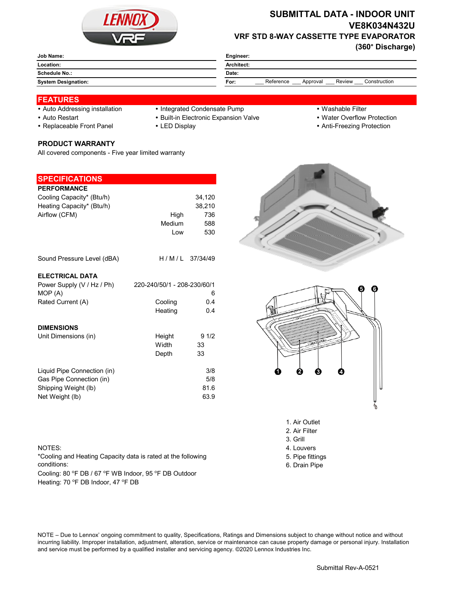

# **SUBMITTAL DATA - INDOOR UNIT VE8K034N432U VRF STD 8-WAY CASSETTE TYPE EVAPORATOR**

**(360° Discharge)**

| Engineer:                                               |  |  |
|---------------------------------------------------------|--|--|
| Architect:                                              |  |  |
| Date:                                                   |  |  |
| Review<br>Reference<br>Construction<br>For:<br>Approval |  |  |
|                                                         |  |  |

#### **FEATURES**

- 
- Auto Addressing installation Integrated Condensate Pump Washable Filter
- 
- 
- 
- 
- 
- Auto Restart **Built-in Electronic Expansion Valve Water Overflow Protection**
- Replaceable Front Panel LED Display Anti-Freezing Protection

# **PRODUCT WARRANTY**

All covered components - Five year limited warranty

## **SPECIFICATIONS**

| <b>PERFORMANCE</b>          |                             |                |
|-----------------------------|-----------------------------|----------------|
| Cooling Capacity* (Btu/h)   |                             | 34,120         |
| Heating Capacity* (Btu/h)   |                             | 38,210         |
| Airflow (CFM)               | High                        | 736            |
|                             | Medium                      | 588            |
|                             | Low                         | 530            |
|                             |                             |                |
| Sound Pressure Level (dBA)  |                             | H/M/L 37/34/49 |
| <b>ELECTRICAL DATA</b>      |                             |                |
| Power Supply (V / Hz / Ph)  | 220-240/50/1 - 208-230/60/1 |                |
| MOP (A)                     |                             | 6              |
| Rated Current (A)           | Cooling                     | 0.4            |
|                             | Heating                     | 0.4            |
| <b>DIMENSIONS</b>           |                             |                |
| Unit Dimensions (in)        | Height                      | 91/2           |
|                             | Width                       | 33             |
|                             | Depth                       | 33             |
| Liquid Pipe Connection (in) |                             | 3/8            |
| Gas Pipe Connection (in)    |                             | 5/8            |
| Shipping Weight (lb)        |                             | 81.6           |
| Net Weight (lb)             |                             | 63.9           |
|                             |                             |                |





- 2. Air Filter
- 3. Grill
- 
- 5. Pipe fittings
- 6. Drain Pipe

#### NOTES: 4. Louvers

\*Cooling and Heating Capacity data is rated at the following conditions:

Cooling: 80 °F DB / 67 °F WB Indoor, 95 °F DB Outdoor Heating: 70 °F DB Indoor, 47 °F DB

NOTE – Due to Lennox' ongoing commitment to quality, Specifications, Ratings and Dimensions subject to change without notice and without incurring liability. Improper installation, adjustment, alteration, service or maintenance can cause property damage or personal injury. Installation and service must be performed by a qualified installer and servicing agency. ©2020 Lennox Industries Inc.